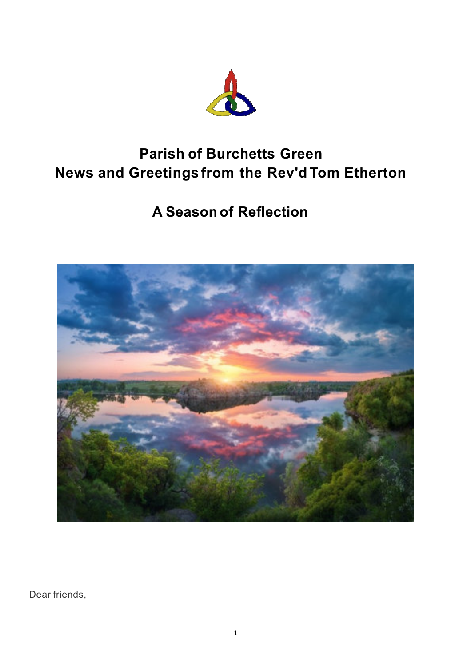

# **Parish of Burchetts Green News and Greetings from the Rev'd Tom Etherton**

# **A Season of Reflection**



Dear friends,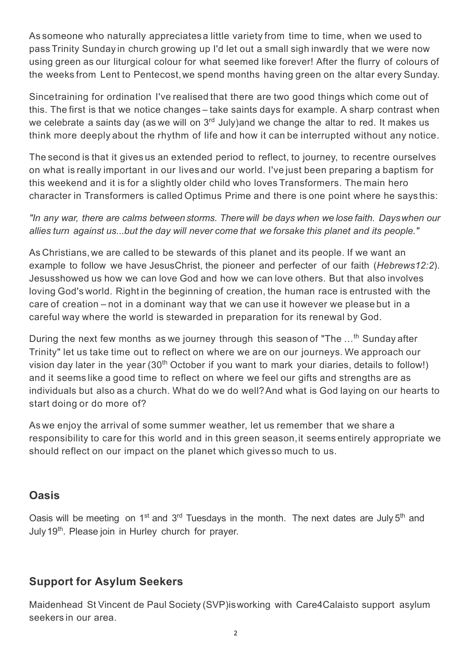As someone who naturally appreciatesa little variety from time to time, when we used to pass Trinity Sunday in church growing up I'd let out a small sigh inwardly that we were now using green as our liturgical colour for what seemed like forever! After the flurry of colours of the weeks from Lent to Pentecost,we spend months having green on the altar every Sunday.

Sincetraining for ordination I've realised that there are two good things which come out of this. The first is that we notice changes – take saints days for example. A sharp contrast when we celebrate a saints day (as we will on  $3<sup>rd</sup>$  July)and we change the altar to red. It makes us think more deeply about the rhythm of life and how it can be interrupted without any notice.

The second is that it gives us an extended period to reflect, to journey, to recentre ourselves on what is really important in our lives and our world. I've just been preparing a baptism for this weekend and it is for a slightly older child who loves Transformers. The main hero character in Transformers is called Optimus Prime and there is one point where he says this:

*"In any war, there are calms between storms. Therewill be days when we lose faith. Dayswhen our allies turn against us...but the day will never come that we forsake this planet and its people."*

As Christians,we are called to be stewards of this planet and its people. If we want an example to follow we have JesusChrist, the pioneer and perfecter of our faith (*Hebrews12:2*). Jesusshowed us how we can love God and how we can love others. But that also involves loving God's world. Right in the beginning of creation, the human race is entrusted with the care of creation – not in a dominant way that we can use it however we please but in a careful way where the world is stewarded in preparation for its renewal by God.

During the next few months as we journey through this season of "The  $\dots$ <sup>th</sup> Sunday after Trinity" let us take time out to reflect on where we are on our journeys. We approach our vision day later in the year  $(30<sup>th</sup> October if you want to mark your diaries, details to follow!)$ and it seems like a good time to reflect on where we feel our gifts and strengths are as individuals but also as a church. What do we do well?And what is God laying on our hearts to start doing or do more of?

As we enjoy the arrival of some summer weather, let us remember that we share a responsibility to care for this world and in this green season,it seems entirely appropriate we should reflect on our impact on the planet which givesso much to us.

## **Oasis**

Oasis will be meeting on 1<sup>st</sup> and 3<sup>rd</sup> Tuesdays in the month. The next dates are July 5<sup>th</sup> and July 19<sup>th</sup>. Please join in Hurley church for prayer.

## **Support for Asylum Seekers**

Maidenhead St Vincent de Paul Society (SVP)isworking with Care4Calaisto support asylum seekers in our area.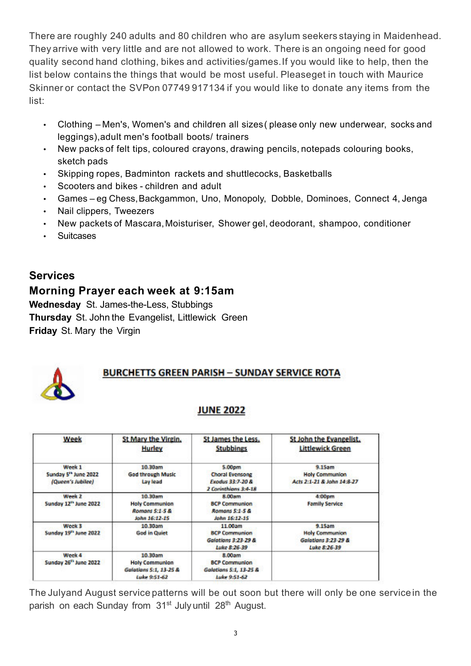There are roughly 240 adults and 80 children who are asylum seekers staying in Maidenhead. They arrive with very little and are not allowed to work. There is an ongoing need for good quality second hand clothing, bikes and activities/games.If you would like to help, then the list below contains the things that would be most useful. Pleaseget in touch with Maurice Skinner or contact the SVPon 07749 917134 if you would like to donate any items from the list:

- Clothing Men's, Women's and children all sizes( please only new underwear, socks and leggings),adult men's football boots/ trainers
- New packs of felt tips, coloured crayons, drawing pencils, notepads colouring books, sketch pads
- Skipping ropes, Badminton rackets and shuttlecocks, Basketballs
- Scooters and bikes children and adult
- Games eg Chess, Backgammon, Uno, Monopoly, Dobble, Dominoes, Connect 4, Jenga
- Nail clippers, Tweezers
- New packets of Mascara,Moisturiser, Shower gel, deodorant, shampoo, conditioner
- Suitcases

## **Services**

#### **Morning Prayer each week at 9:15am**

**Wednesday** St. James-the-Less, Stubbings **Thursday** St. John the Evangelist, Littlewick Green **Friday** St. Mary the Virgin

## **BURCHETTS GREEN PARISH - SUNDAY SERVICE ROTA**

#### **JUNE 2022**

| Week                                               | St Mary the Virgin.<br><b>Hurley</b>                                       | <b>St James the Less.</b><br><b>Stubbings</b>                                                | St John the Evangelist.<br><b>Littlewick Green</b>                     |
|----------------------------------------------------|----------------------------------------------------------------------------|----------------------------------------------------------------------------------------------|------------------------------------------------------------------------|
| Week 1<br>Sunday 5" June 2022<br>(Queen's Jubilee) | 10.30am<br><b>God through Music</b><br>Lay lead                            | 5.00 <sub>pm</sub><br>Choral Evensong<br><b>Exodus 33:7-20 &amp;</b><br>2 Corinthians 3:4-18 | 9.15am<br><b>Holy Communion</b><br>Acts 2:1-21 & John 14:8-27          |
| Week 2<br>Sunday 12 <sup>th</sup> June 2022        | 10.30am<br><b>Holy Communion</b><br>Romans 5:1-5 &<br>John 16:12-15        | 8.00am<br><b>BCP Communion</b><br>Romans 5:1-5 &<br>John 16:12-15                            | 4:00 <sub>pm</sub><br><b>Family Service</b>                            |
| Week 3<br>Sunday 19 <sup>th</sup> June 2022        | 10.30am<br><b>God in Quiet</b>                                             | 11.00am<br><b>BCP Communion</b><br>Galatians 3:23-29 &<br>Luke 8:26-39                       | 9.15am<br><b>Holy Communion</b><br>Galatians 3:23-29 &<br>Luke 8:26-39 |
| Week 4<br>Sunday 26 <sup>th</sup> June 2022        | 10.30am<br><b>Holy Communion</b><br>Galatians 5:1, 13-25 &<br>Luke 9:51-62 | 8.00am<br><b>BCP Communion</b><br>Galations 5:1, 13-25 &<br>Luke 9:51-62                     |                                                                        |

The Julyand August service patterns will be out soon but there will only be one servicein the parish on each Sunday from 31<sup>st</sup> July until 28<sup>th</sup> August.